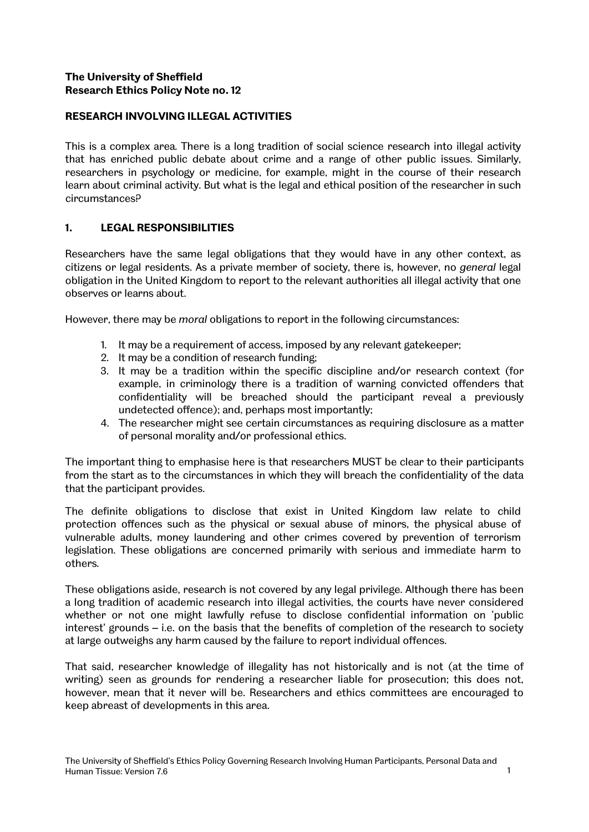# **The University of Sheffield Research Ethics Policy Note no. 12**

# **RESEARCH INVOLVING ILLEGAL ACTIVITIES**

This is a complex area. There is a long tradition of social science research into illegal activity that has enriched public debate about crime and a range of other public issues. Similarly, researchers in psychology or medicine, for example, might in the course of their research learn about criminal activity. But what is the legal and ethical position of the researcher in such circumstances?

## **1. LEGAL RESPONSIBILITIES**

Researchers have the same legal obligations that they would have in any other context, as citizens or legal residents. As a private member of society, there is, however, no *general* legal obligation in the United Kingdom to report to the relevant authorities all illegal activity that one observes or learns about.

However, there may be *moral* obligations to report in the following circumstances:

- 1. It may be a requirement of access, imposed by any relevant gatekeeper;
- 2. It may be a condition of research funding;
- 3. It may be a tradition within the specific discipline and/or research context (for example, in criminology there is a tradition of warning convicted offenders that confidentiality will be breached should the participant reveal a previously undetected offence); and, perhaps most importantly;
- 4. The researcher might see certain circumstances as requiring disclosure as a matter of personal morality and/or professional ethics.

The important thing to emphasise here is that researchers MUST be clear to their participants from the start as to the circumstances in which they will breach the confidentiality of the data that the participant provides.

The definite obligations to disclose that exist in United Kingdom law relate to child protection offences such as the physical or sexual abuse of minors, the physical abuse of vulnerable adults, money laundering and other crimes covered by prevention of terrorism legislation. These obligations are concerned primarily with serious and immediate harm to others.

These obligations aside, research is not covered by any legal privilege. Although there has been a long tradition of academic research into illegal activities, the courts have never considered whether or not one might lawfully refuse to disclose confidential information on 'public interest' grounds – i.e. on the basis that the benefits of completion of the research to society at large outweighs any harm caused by the failure to report individual offences.

That said, researcher knowledge of illegality has not historically and is not (at the time of writing) seen as grounds for rendering a researcher liable for prosecution; this does not, however, mean that it never will be. Researchers and ethics committees are encouraged to keep abreast of developments in this area.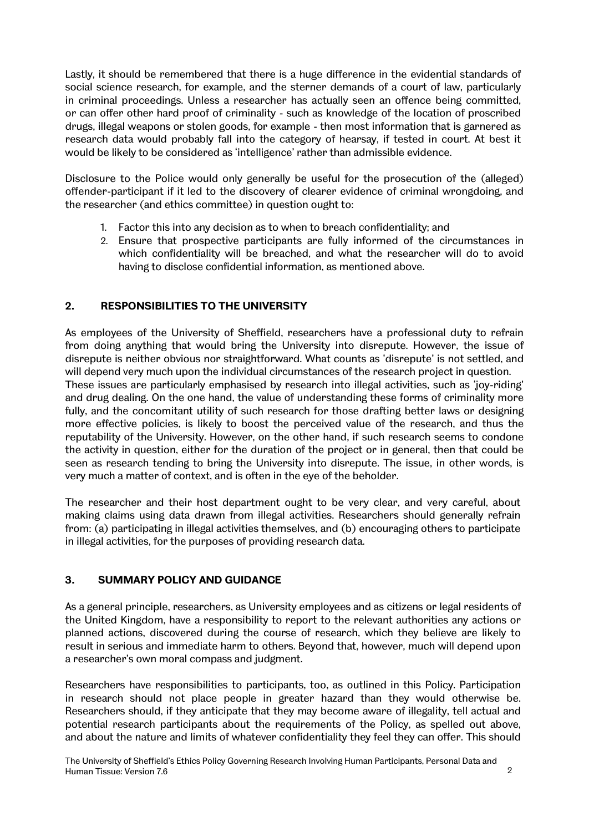Lastly, it should be remembered that there is a huge difference in the evidential standards of social science research, for example, and the sterner demands of a court of law, particularly in criminal proceedings. Unless a researcher has actually seen an offence being committed, or can offer other hard proof of criminality - such as knowledge of the location of proscribed drugs, illegal weapons or stolen goods, for example - then most information that is garnered as research data would probably fall into the category of hearsay, if tested in court. At best it would be likely to be considered as 'intelligence' rather than admissible evidence.

Disclosure to the Police would only generally be useful for the prosecution of the (alleged) offender-participant if it led to the discovery of clearer evidence of criminal wrongdoing, and the researcher (and ethics committee) in question ought to:

- 1. Factor this into any decision as to when to breach confidentiality; and
- 2. Ensure that prospective participants are fully informed of the circumstances in which confidentiality will be breached, and what the researcher will do to avoid having to disclose confidential information, as mentioned above.

## **2. RESPONSIBILITIES TO THE UNIVERSITY**

As employees of the University of Sheffield, researchers have a professional duty to refrain from doing anything that would bring the University into disrepute. However, the issue of disrepute is neither obvious nor straightforward. What counts as 'disrepute' is not settled, and will depend very much upon the individual circumstances of the research project in question. These issues are particularly emphasised by research into illegal activities, such as 'joy-riding' and drug dealing. On the one hand, the value of understanding these forms of criminality more fully, and the concomitant utility of such research for those drafting better laws or designing more effective policies, is likely to boost the perceived value of the research, and thus the reputability of the University. However, on the other hand, if such research seems to condone the activity in question, either for the duration of the project or in general, then that could be seen as research tending to bring the University into disrepute. The issue, in other words, is very much a matter of context, and is often in the eye of the beholder.

The researcher and their host department ought to be very clear, and very careful, about making claims using data drawn from illegal activities. Researchers should generally refrain from: (a) participating in illegal activities themselves, and (b) encouraging others to participate in illegal activities, for the purposes of providing research data.

#### **3. SUMMARY POLICY AND GUIDANCE**

As a general principle, researchers, as University employees and as citizens or legal residents of the United Kingdom, have a responsibility to report to the relevant authorities any actions or planned actions, discovered during the course of research, which they believe are likely to result in serious and immediate harm to others. Beyond that, however, much will depend upon a researcher's own moral compass and judgment.

Researchers have responsibilities to participants, too, as outlined in this Policy. Participation in research should not place people in greater hazard than they would otherwise be. Researchers should, if they anticipate that they may become aware of illegality, tell actual and potential research participants about the requirements of the Policy, as spelled out above, and about the nature and limits of whatever confidentiality they feel they can offer. This should